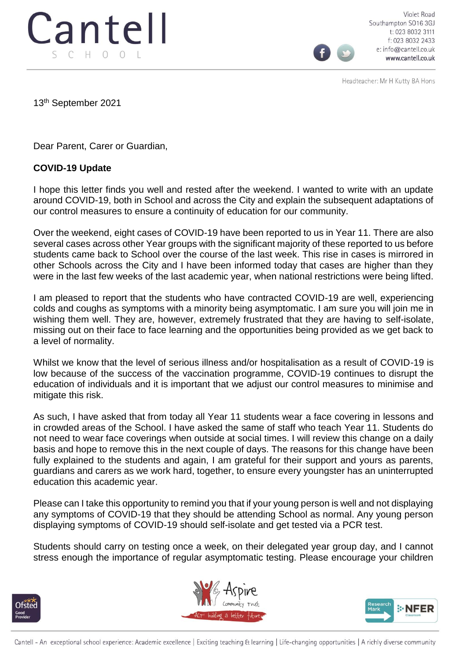

Violet Road Southampton SO16 3GJ t: 023 8032 3111 f: 023 8032 2433 e: info@cantell.co.uk www.cantell.co.uk

Headteacher: Mr H Kutty BA Hons

13th September 2021

Dear Parent, Carer or Guardian,

## **COVID-19 Update**

I hope this letter finds you well and rested after the weekend. I wanted to write with an update around COVID-19, both in School and across the City and explain the subsequent adaptations of our control measures to ensure a continuity of education for our community.

Over the weekend, eight cases of COVID-19 have been reported to us in Year 11. There are also several cases across other Year groups with the significant majority of these reported to us before students came back to School over the course of the last week. This rise in cases is mirrored in other Schools across the City and I have been informed today that cases are higher than they were in the last few weeks of the last academic year, when national restrictions were being lifted.

I am pleased to report that the students who have contracted COVID-19 are well, experiencing colds and coughs as symptoms with a minority being asymptomatic. I am sure you will join me in wishing them well. They are, however, extremely frustrated that they are having to self-isolate, missing out on their face to face learning and the opportunities being provided as we get back to a level of normality.

Whilst we know that the level of serious illness and/or hospitalisation as a result of COVID-19 is low because of the success of the vaccination programme, COVID-19 continues to disrupt the education of individuals and it is important that we adjust our control measures to minimise and mitigate this risk.

As such, I have asked that from today all Year 11 students wear a face covering in lessons and in crowded areas of the School. I have asked the same of staff who teach Year 11. Students do not need to wear face coverings when outside at social times. I will review this change on a daily basis and hope to remove this in the next couple of days. The reasons for this change have been fully explained to the students and again, I am grateful for their support and yours as parents, guardians and carers as we work hard, together, to ensure every youngster has an uninterrupted education this academic year.

Please can I take this opportunity to remind you that if your young person is well and not displaying any symptoms of COVID-19 that they should be attending School as normal. Any young person displaying symptoms of COVID-19 should self-isolate and get tested via a PCR test.

Students should carry on testing once a week, on their delegated year group day, and I cannot stress enough the importance of regular asymptomatic testing. Please encourage your children